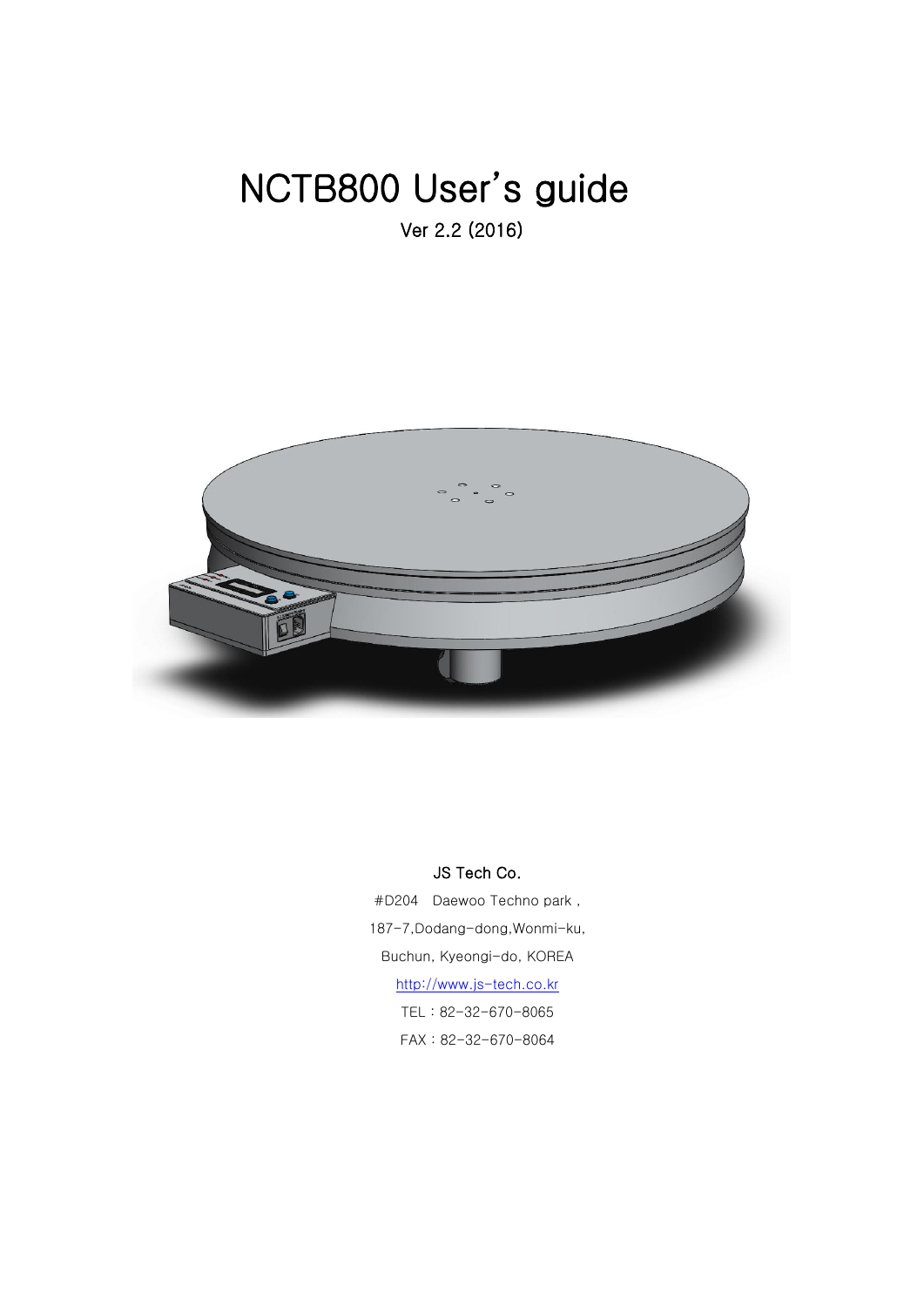# NCTB800 User's guide Ver 2.2 (2016)



#### JS Tech Co.

#D204 Daewoo Techno park , 187-7,Dodang-dong,Wonmi-ku, Buchun, Kyeongi-do, KOREA [http://www.js-tech.co.kr](http://www.js-tech.co.kr/) TEL : 82-32-670-8065 FAX : 82-32-670-8064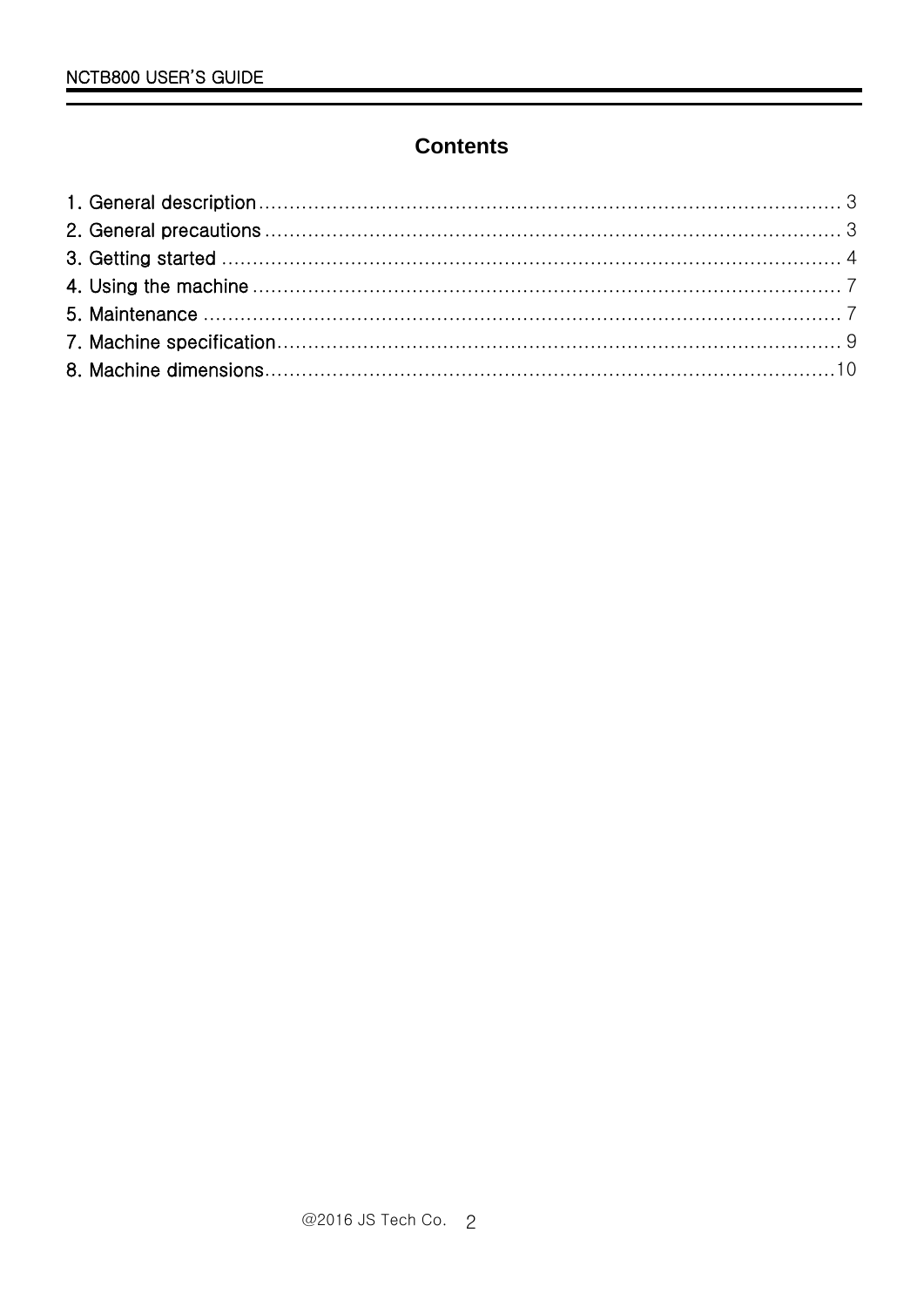# **Contents**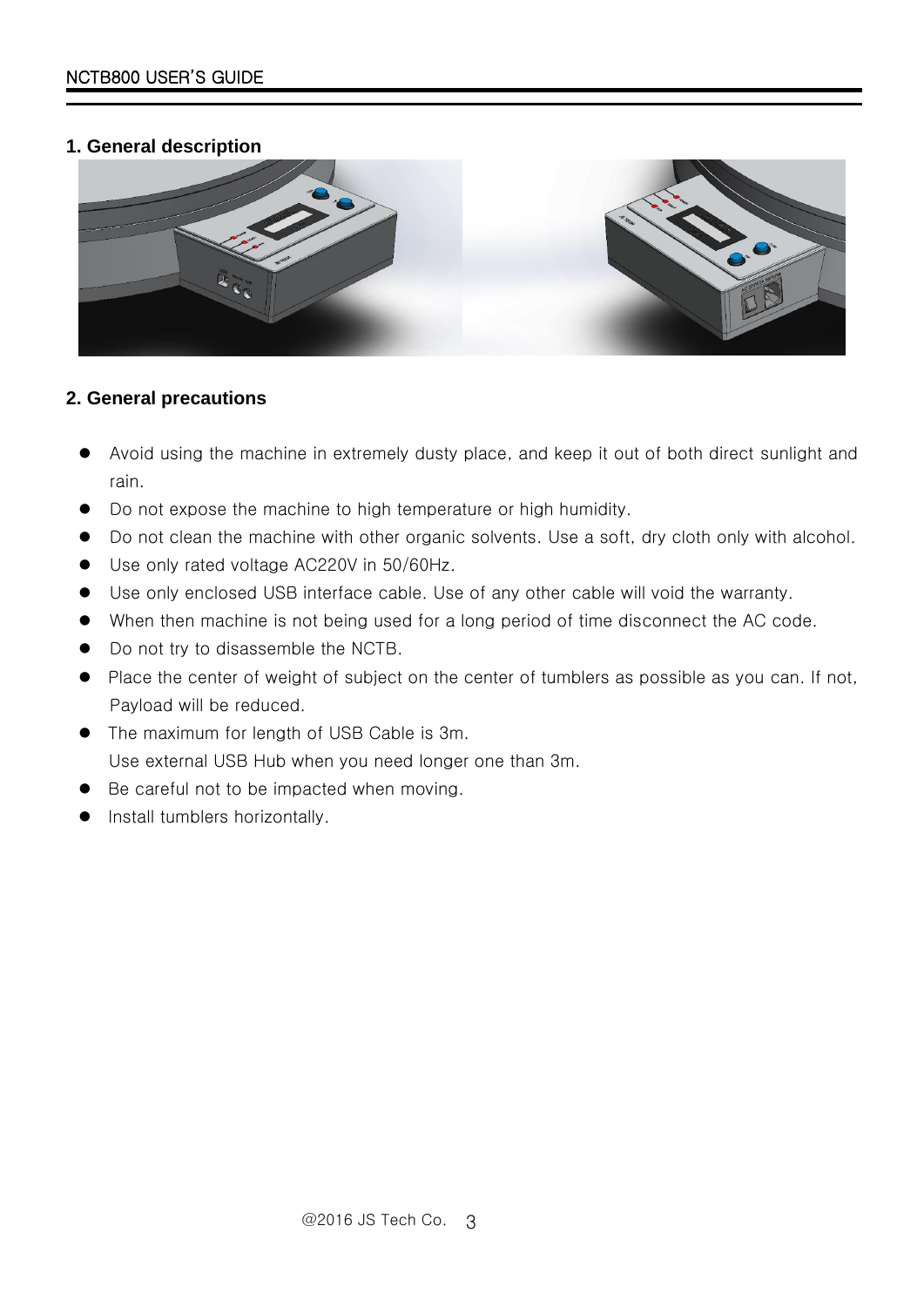#### <span id="page-2-0"></span>**1. General description**



#### <span id="page-2-1"></span>**2. General precautions**

- Avoid using the machine in extremely dusty place, and keep it out of both direct sunlight and rain.
- Do not expose the machine to high temperature or high humidity.
- Do not clean the machine with other organic solvents. Use a soft, dry cloth only with alcohol.
- Use only rated voltage AC220V in 50/60Hz.
- Use only enclosed USB interface cable. Use of any other cable will void the warranty.
- When then machine is not being used for a long period of time disconnect the AC code.
- $\bullet$  Do not try to disassemble the NCTB.
- Place the center of weight of subject on the center of tumblers as possible as you can. If not, Payload will be reduced.
- The maximum for length of USB Cable is 3m. Use external USB Hub when you need longer one than 3m.
- Be careful not to be impacted when moving.
- Install tumblers horizontally.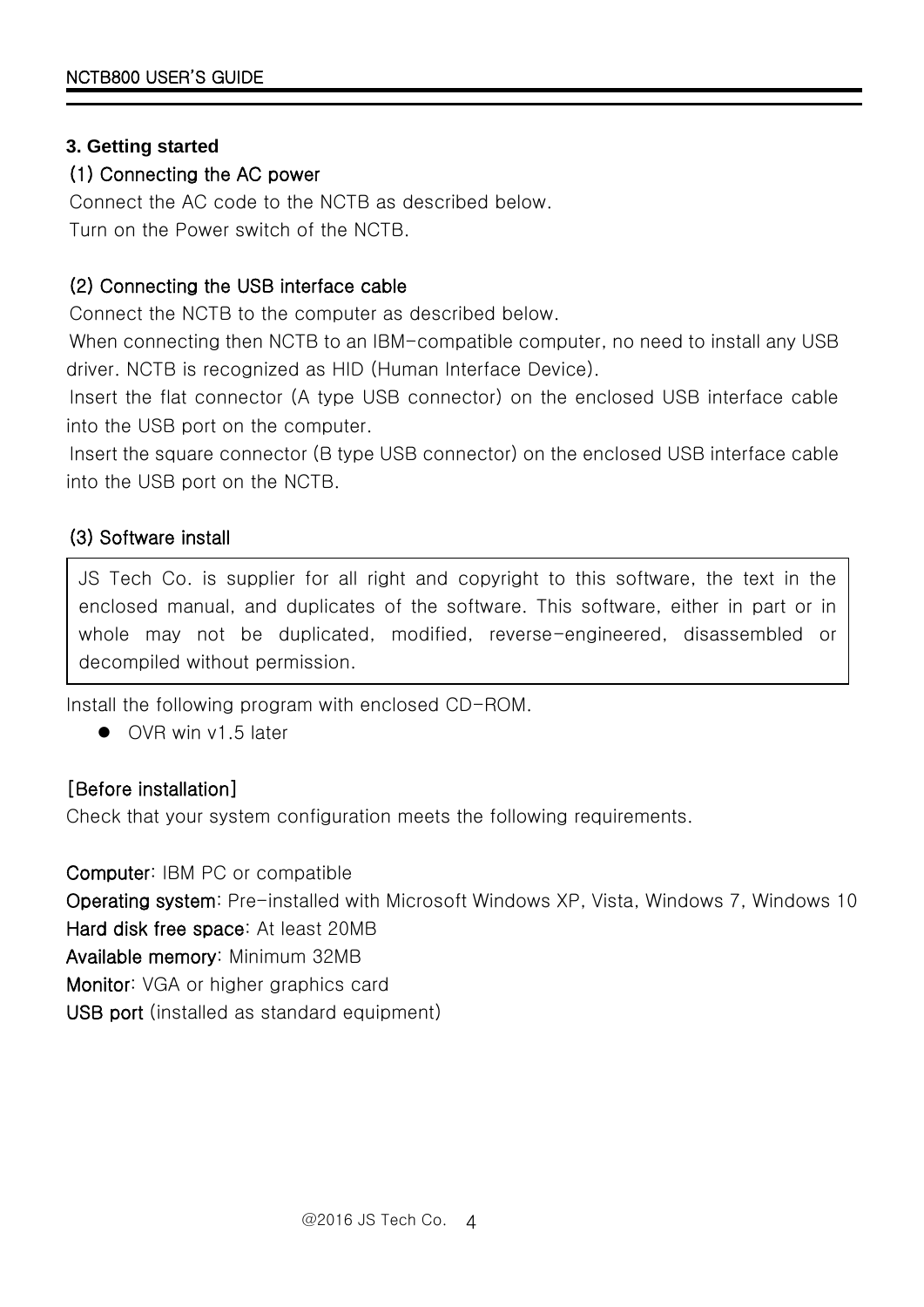#### <span id="page-3-0"></span>**3. Getting started**

### (1) Connecting the AC power

Connect the AC code to the NCTB as described below. Turn on the Power switch of the NCTB.

## (2) Connecting the USB interface cable

Connect the NCTB to the computer as described below.

When connecting then NCTB to an IBM-compatible computer, no need to install any USB driver. NCTB is recognized as HID (Human Interface Device).

Insert the flat connector (A type USB connector) on the enclosed USB interface cable into the USB port on the computer.

Insert the square connector (B type USB connector) on the enclosed USB interface cable into the USB port on the NCTB.

## (3) Software install

JS Tech Co. is supplier for all right and copyright to this software, the text in the enclosed manual, and duplicates of the software. This software, either in part or in whole may not be duplicated, modified, reverse-engineered, disassembled or decompiled without permission.

Install the following program with enclosed CD-ROM.

● OVR win v1.5 later

## [Before installation]

Check that your system configuration meets the following requirements.

Computer: IBM PC or compatible Operating system: Pre-installed with Microsoft Windows XP, Vista, Windows 7, Windows 10 Hard disk free space: At least 20MB Available memory: Minimum 32MB Monitor: VGA or higher graphics card USB port (installed as standard equipment)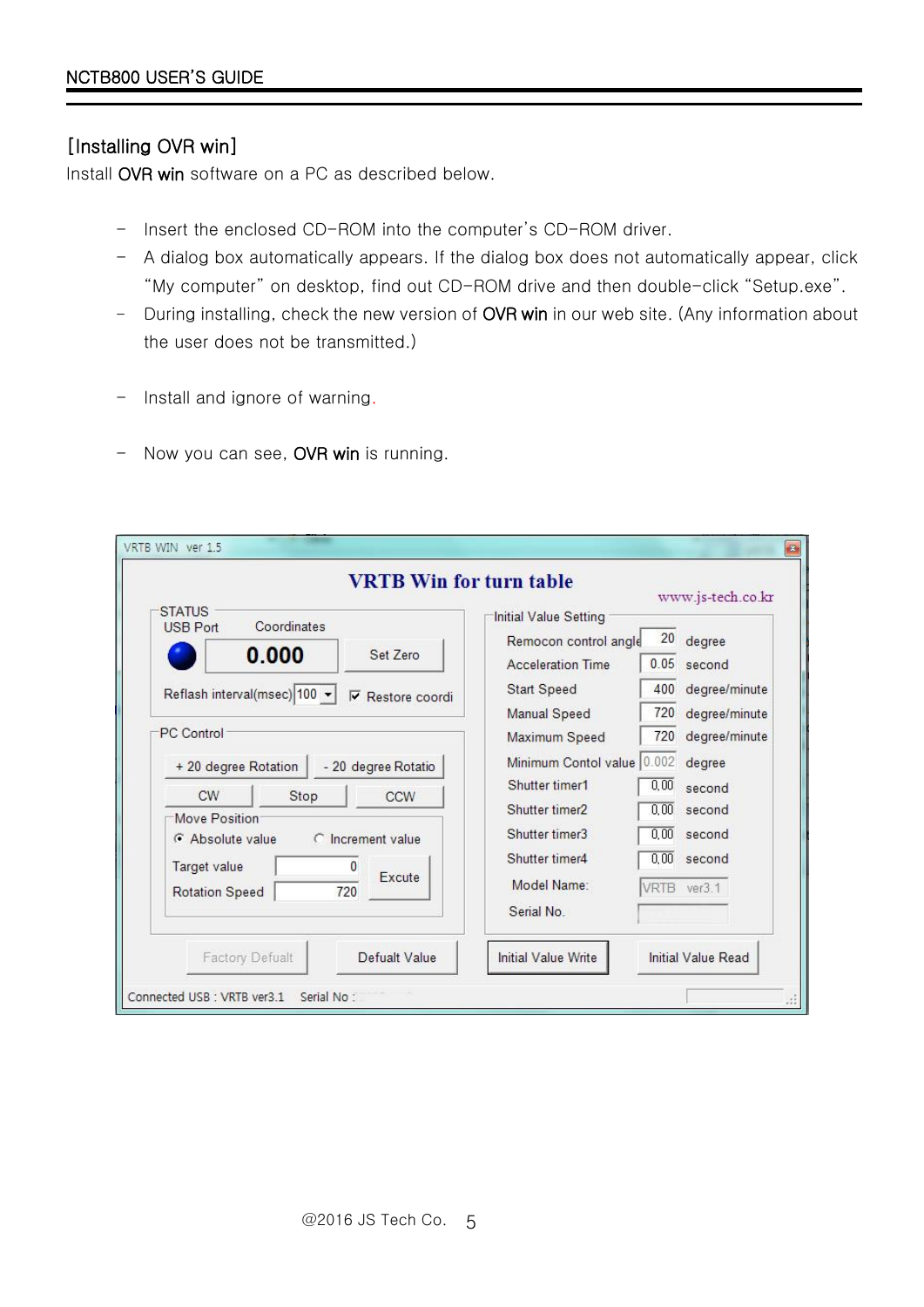### [Installing OVR win]

Install OVR win software on a PC as described below.

- Insert the enclosed CD-ROM into the computer's CD-ROM driver.
- A dialog box automatically appears. If the dialog box does not automatically appear, click "My computer" on desktop, find out CD-ROM drive and then double-click "Setup.exe".
- During installing, check the new version of OVR win in our web site. (Any information about the user does not be transmitted.)
- Install and ignore of warning.
- Now you can see, OVR win is running.

| Initial Value Setting<br>Coordinates<br>20<br>degree<br>Remocon control angle<br>0.000<br>Set Zero<br>0.05<br><b>Acceleration Time</b><br>second<br>400<br>Start Speed<br>⊽<br>Restore coordi<br>720<br>Manual Speed<br>720<br>Maximum Speed<br>Minimum Contol value 0.002<br>degree<br>+ 20 degree Rotation<br>- 20 degree Rotatio<br>Shutter timer1<br>0.00<br>second<br><b>CW</b><br>Stop<br>CCW<br>Shutter timer2<br>0.00<br>second<br>Move Position<br>Shutter timer3<br>0.00<br>second<br>G Absolute value<br>C Increment value | <b>VRTB Win for turn table</b>                                                 |                            |      | www.js-tech.co.kr                                         |
|---------------------------------------------------------------------------------------------------------------------------------------------------------------------------------------------------------------------------------------------------------------------------------------------------------------------------------------------------------------------------------------------------------------------------------------------------------------------------------------------------------------------------------------|--------------------------------------------------------------------------------|----------------------------|------|-----------------------------------------------------------|
| Target value<br>0                                                                                                                                                                                                                                                                                                                                                                                                                                                                                                                     | <b>STATUS</b><br><b>USB Port</b><br>Reflash interval(msec) 100 +<br>PC Control | Shutter timer4             | 0.00 | degree/minute<br>degree/minute<br>degree/minute<br>second |
|                                                                                                                                                                                                                                                                                                                                                                                                                                                                                                                                       | Defualt Value<br><b>Factory Defualt</b>                                        | <b>Initial Value Write</b> |      | <b>Initial Value Read</b>                                 |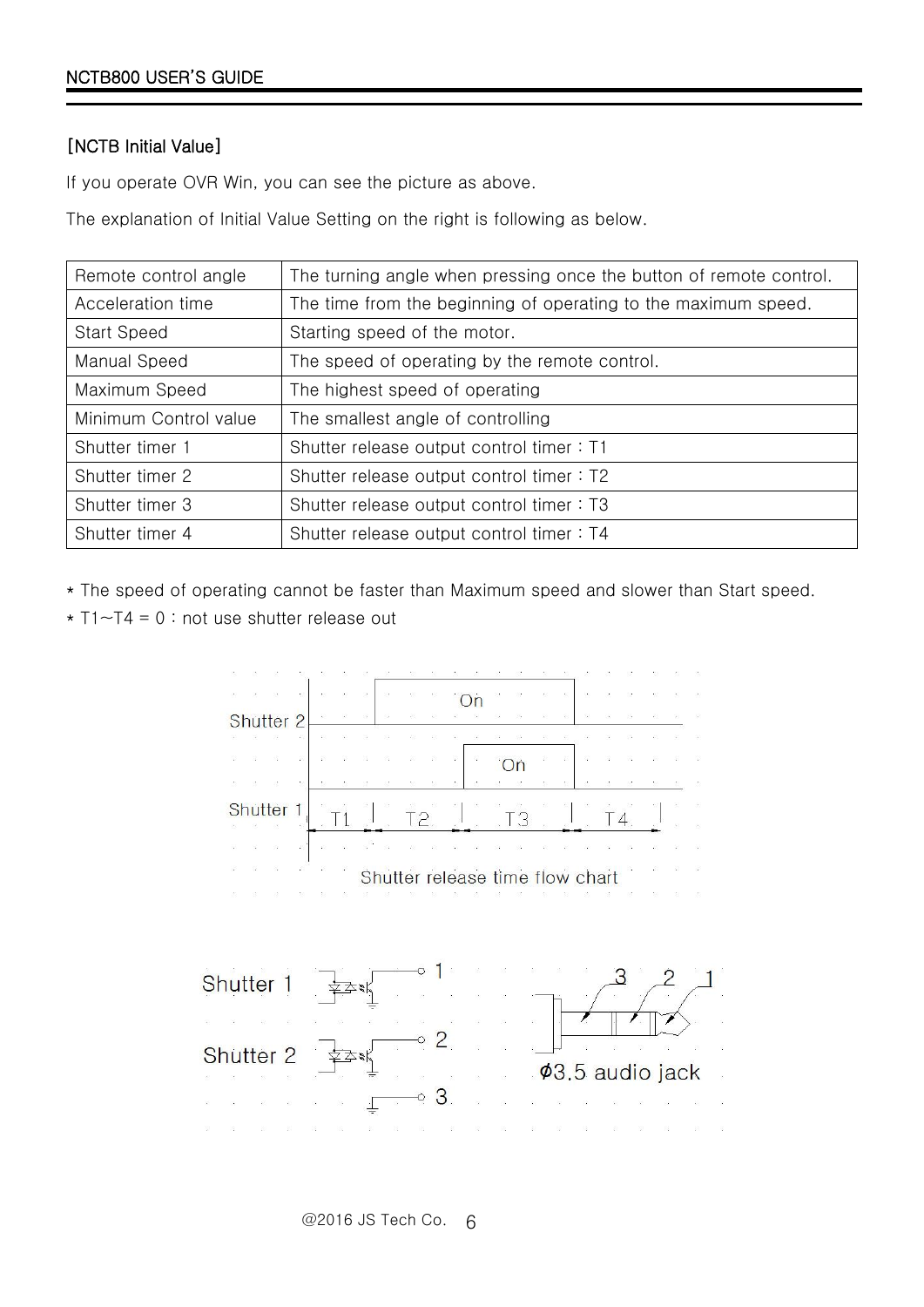#### [NCTB Initial Value]

If you operate OVR Win, you can see the picture as above.

The explanation of Initial Value Setting on the right is following as below.

| Remote control angle  | The turning angle when pressing once the button of remote control. |
|-----------------------|--------------------------------------------------------------------|
| Acceleration time     | The time from the beginning of operating to the maximum speed.     |
| <b>Start Speed</b>    | Starting speed of the motor.                                       |
| Manual Speed          | The speed of operating by the remote control.                      |
| Maximum Speed         | The highest speed of operating                                     |
| Minimum Control value | The smallest angle of controlling                                  |
| Shutter timer 1       | Shutter release output control timer: T1                           |
| Shutter timer 2       | Shutter release output control timer: T2                           |
| Shutter timer 3       | Shutter release output control timer: T3                           |
| Shutter timer 4       | Shutter release output control timer: T4                           |

\* The speed of operating cannot be faster than Maximum speed and slower than Start speed.

 $\star$  T1~T4 = 0 : not use shutter release out

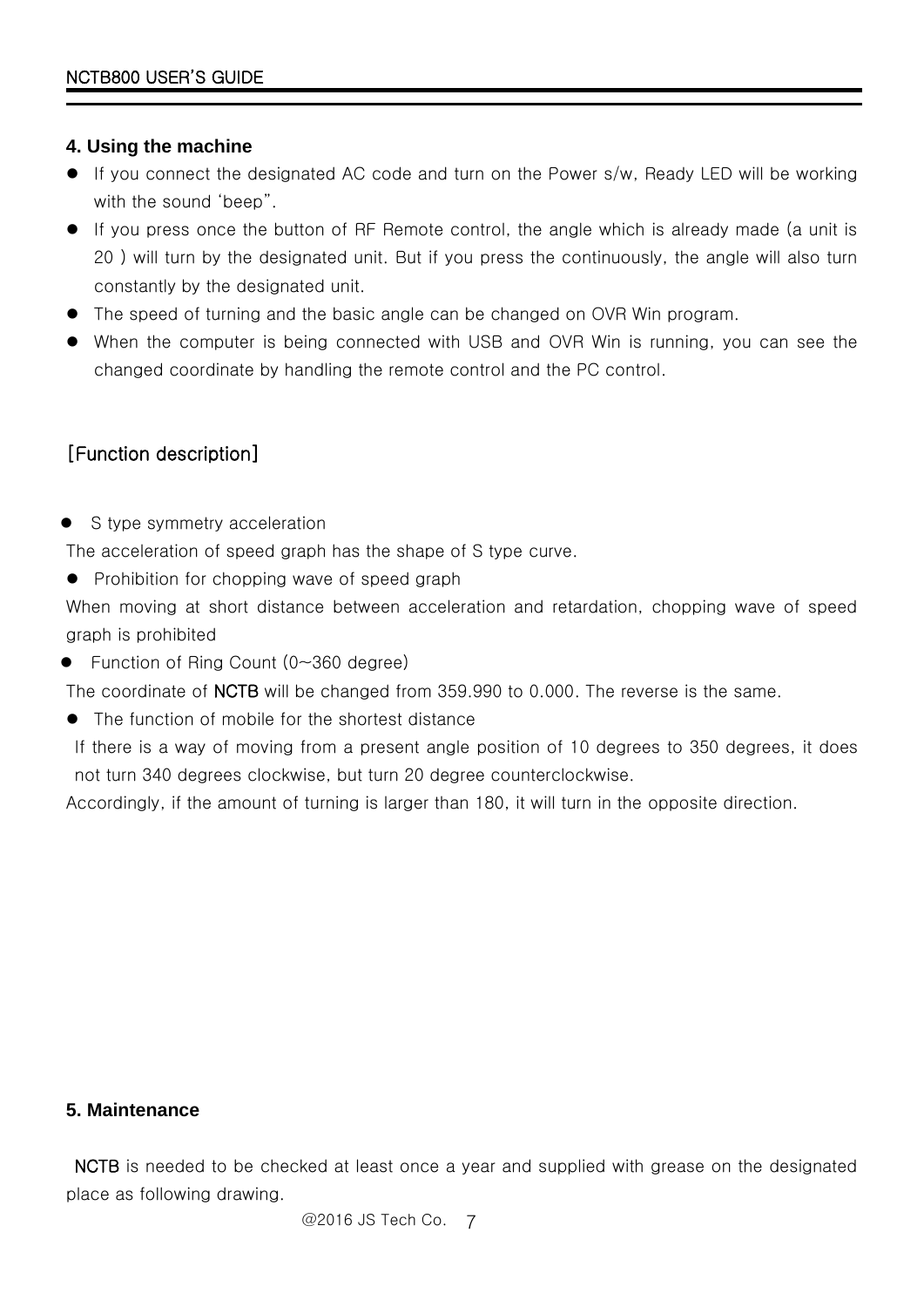#### <span id="page-6-0"></span>**4. Using the machine**

- If you connect the designated AC code and turn on the Power s/w, Ready LED will be working with the sound 'beep".
- If you press once the button of RF Remote control, the angle which is already made (a unit is 20 ) will turn by the designated unit. But if you press the continuously, the angle will also turn constantly by the designated unit.
- The speed of turning and the basic angle can be changed on OVR Win program.
- When the computer is being connected with USB and OVR Win is running, you can see the changed coordinate by handling the remote control and the PC control.

## [Function description]

• S type symmetry acceleration

The acceleration of speed graph has the shape of S type curve.

• Prohibition for chopping wave of speed graph

When moving at short distance between acceleration and retardation, chopping wave of speed graph is prohibited

■ Function of Ring Count (0~360 degree)

The coordinate of NCTB will be changed from 359.990 to 0.000. The reverse is the same.

The function of mobile for the shortest distance

If there is a way of moving from a present angle position of 10 degrees to 350 degrees, it does not turn 340 degrees clockwise, but turn 20 degree counterclockwise.

Accordingly, if the amount of turning is larger than 180, it will turn in the opposite direction.

#### <span id="page-6-1"></span>**5. Maintenance**

NCTB is needed to be checked at least once a year and supplied with grease on the designated place as following drawing.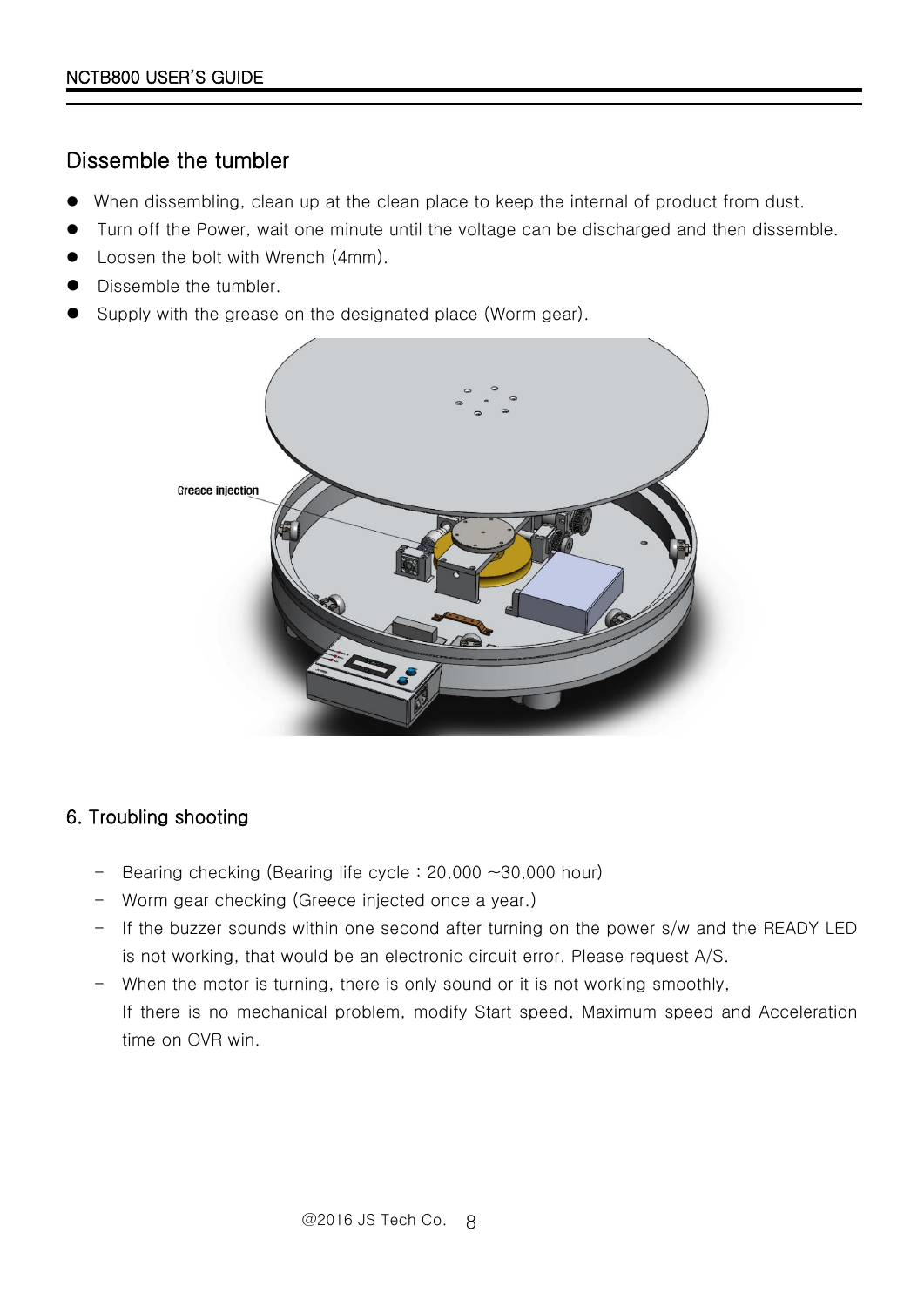# Dissemble the tumbler

- When dissembling, clean up at the clean place to keep the internal of product from dust.
- Turn off the Power, wait one minute until the voltage can be discharged and then dissemble.
- Loosen the bolt with Wrench (4mm).
- Dissemble the tumbler.
- Supply with the grease on the designated place (Worm gear).



## 6. Troubling shooting

- Bearing checking (Bearing life cycle  $: 20,000 \sim 30,000$  hour)
- Worm gear checking (Greece injected once a year.)
- If the buzzer sounds within one second after turning on the power s/w and the READY LED is not working, that would be an electronic circuit error. Please request A/S.
- When the motor is turning, there is only sound or it is not working smoothly, If there is no mechanical problem, modify Start speed, Maximum speed and Acceleration time on OVR win.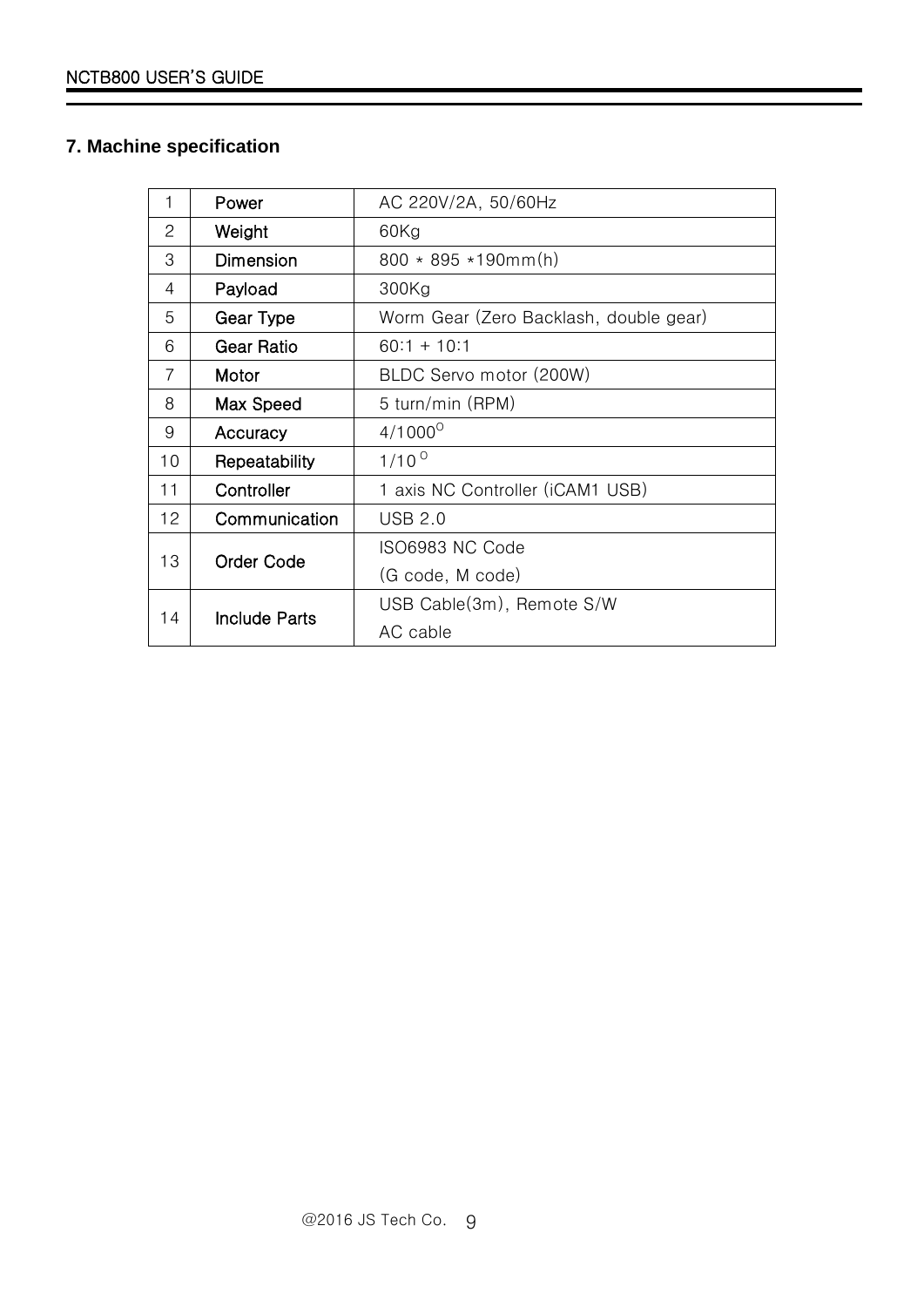### <span id="page-8-0"></span>**7. Machine specification**

| 1  | Power                | AC 220V/2A, 50/60Hz                    |
|----|----------------------|----------------------------------------|
| 2  | Weight               | 60Kg                                   |
| 3  | Dimension            | $800 * 895 * 190mm(h)$                 |
| 4  | Payload              | 300Kg                                  |
| 5  | Gear Type            | Worm Gear (Zero Backlash, double gear) |
| 6  | <b>Gear Ratio</b>    | $60:1 + 10:1$                          |
| 7  | Motor                | BLDC Servo motor (200W)                |
| 8  | Max Speed            | 5 turn/min (RPM)                       |
| 9  | Accuracy             | $4/1000^{\circ}$                       |
| 10 | Repeatability        | $1/10^{0}$                             |
| 11 | Controller           | 1 axis NC Controller (iCAM1 USB)       |
| 12 | Communication        | <b>USB 2.0</b>                         |
| 13 | <b>Order Code</b>    | ISO6983 NC Code                        |
|    |                      | (G code, M code)                       |
| 14 | <b>Include Parts</b> | USB Cable(3m), Remote S/W              |
|    |                      | AC cable                               |